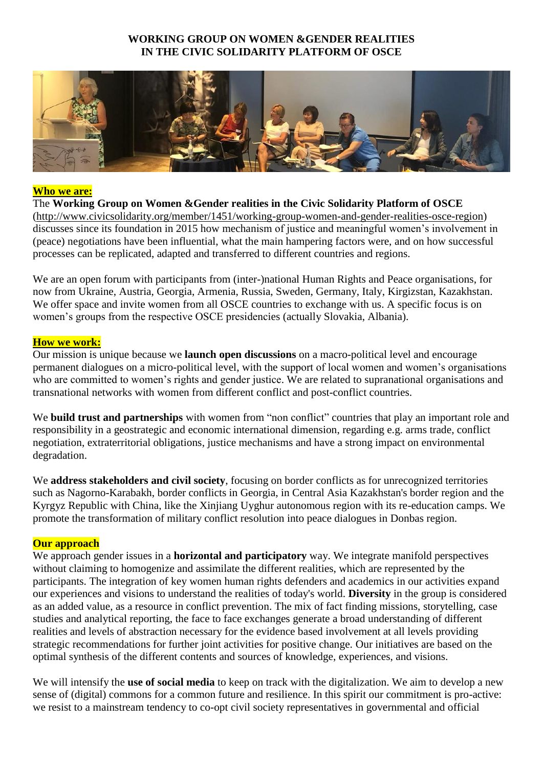### **WORKING GROUP ON WOMEN &GENDER REALITIES IN THE CIVIC SOLIDARITY PLATFORM OF OSCE**



#### **Who we are:**

The **Working Group on Women &Gender realities in the Civic Solidarity Platform of OSCE** [\(http://www.civicsolidarity.org/member/1451/working-group-women-and-gender-realities-osce-region\)](http://www.civicsolidarity.org/member/1451/working-group-women-and-gender-realities-osce-region) discusses since its foundation in 2015 how mechanism of justice and meaningful women's involvement in (peace) negotiations have been influential, what the main hampering factors were, and on how successful processes can be replicated, adapted and transferred to different countries and regions.

We are an open forum with participants from (inter-)national Human Rights and Peace organisations, for now from Ukraine, Austria, Georgia, Armenia, Russia, Sweden, Germany, Italy, Kirgizstan, Kazakhstan. We offer space and invite women from all OSCE countries to exchange with us. A specific focus is on women's groups from the respective OSCE presidencies (actually Slovakia, Albania).

#### **How we work:**

Our mission is unique because we **launch open discussions** on a macro-political level and encourage permanent dialogues on a micro-political level, with the support of local women and women's organisations who are committed to women's rights and gender justice. We are related to supranational organisations and transnational networks with women from different conflict and post-conflict countries.

We **build trust and partnerships** with women from "non conflict" countries that play an important role and responsibility in a geostrategic and economic international dimension, regarding e.g. arms trade, conflict negotiation, extraterritorial obligations, justice mechanisms and have a strong impact on environmental degradation.

We **address stakeholders and civil society**, focusing on border conflicts as for unrecognized territories such as Nagorno-Karabakh, border conflicts in Georgia, in Central Asia Kazakhstan's border region and the Kyrgyz Republic with China, like the Xinjiang Uyghur autonomous region with its re-education camps. We promote the transformation of military conflict resolution into peace dialogues in Donbas region.

#### **Our approach**

We approach gender issues in a **horizontal and participatory** way. We integrate manifold perspectives without claiming to homogenize and assimilate the different realities, which are represented by the participants. The integration of key women human rights defenders and academics in our activities expand our experiences and visions to understand the realities of today's world. **Diversity** in the group is considered as an added value, as a resource in conflict prevention. The mix of fact finding missions, storytelling, case studies and analytical reporting, the face to face exchanges generate a broad understanding of different realities and levels of abstraction necessary for the evidence based involvement at all levels providing strategic recommendations for further joint activities for positive change. Our initiatives are based on the optimal synthesis of the different contents and sources of knowledge, experiences, and visions.

We will intensify the **use of social media** to keep on track with the digitalization. We aim to develop a new sense of (digital) commons for a common future and resilience. In this spirit our commitment is pro-active: we resist to a mainstream tendency to co-opt civil society representatives in governmental and official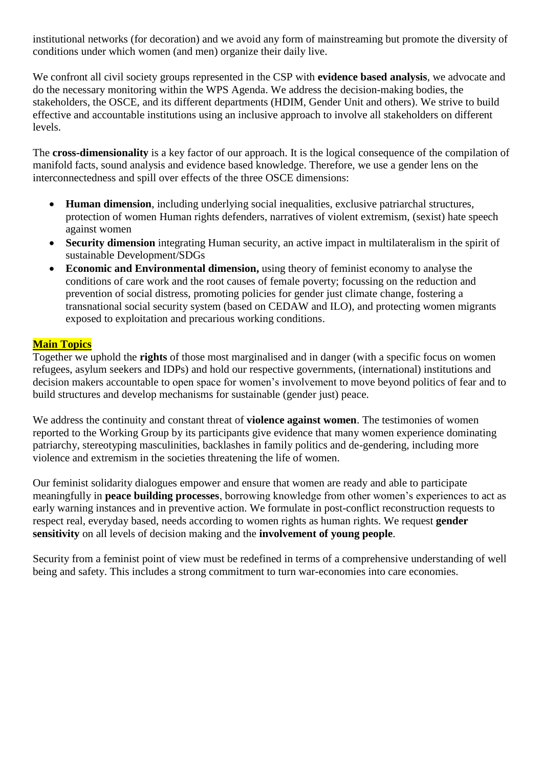institutional networks (for decoration) and we avoid any form of mainstreaming but promote the diversity of conditions under which women (and men) organize their daily live.

We confront all civil society groups represented in the CSP with **evidence based analysis**, we advocate and do the necessary monitoring within the WPS Agenda. We address the decision-making bodies, the stakeholders, the OSCE, and its different departments (HDIM, Gender Unit and others). We strive to build effective and accountable institutions using an inclusive approach to involve all stakeholders on different levels.

The **cross-dimensionality** is a key factor of our approach. It is the logical consequence of the compilation of manifold facts, sound analysis and evidence based knowledge. Therefore, we use a gender lens on the interconnectedness and spill over effects of the three OSCE dimensions:

- **Human dimension**, including underlying social inequalities, exclusive patriarchal structures, protection of women Human rights defenders, narratives of violent extremism, (sexist) hate speech against women
- **Security dimension** integrating Human security, an active impact in multilateralism in the spirit of sustainable Development/SDGs
- **Economic and Environmental dimension,** using theory of feminist economy to analyse the conditions of care work and the root causes of female poverty; focussing on the reduction and prevention of social distress, promoting policies for gender just climate change, fostering a transnational social security system (based on CEDAW and ILO), and protecting women migrants exposed to exploitation and precarious working conditions.

### **Main Topics**

Together we uphold the **rights** of those most marginalised and in danger (with a specific focus on women refugees, asylum seekers and IDPs) and hold our respective governments, (international) institutions and decision makers accountable to open space for women's involvement to move beyond politics of fear and to build structures and develop mechanisms for sustainable (gender just) peace.

We address the continuity and constant threat of **violence against women**. The testimonies of women reported to the Working Group by its participants give evidence that many women experience dominating patriarchy, stereotyping masculinities, backlashes in family politics and de-gendering, including more violence and extremism in the societies threatening the life of women.

Our feminist solidarity dialogues empower and ensure that women are ready and able to participate meaningfully in **peace building processes**, borrowing knowledge from other women's experiences to act as early warning instances and in preventive action. We formulate in post-conflict reconstruction requests to respect real, everyday based, needs according to women rights as human rights. We request **gender sensitivity** on all levels of decision making and the **involvement of young people**.

Security from a feminist point of view must be redefined in terms of a comprehensive understanding of well being and safety. This includes a strong commitment to turn war-economies into care economies.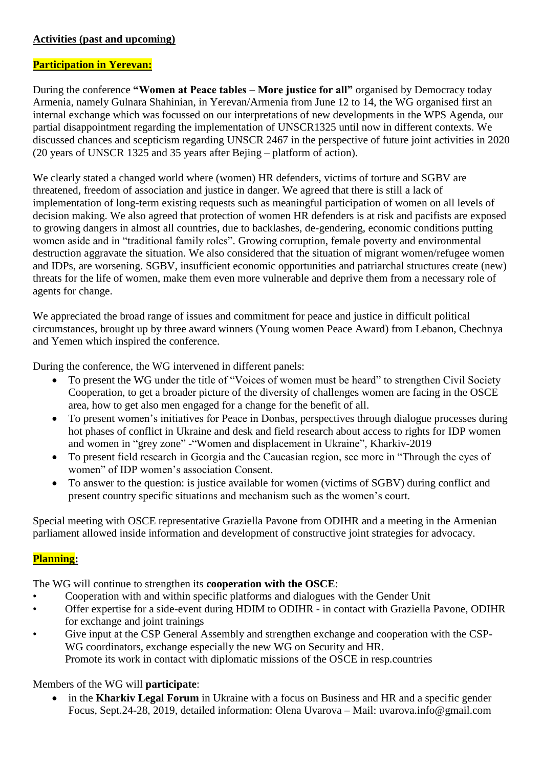## **Activities (past and upcoming)**

### **Participation in Yerevan:**

During the conference **"Women at Peace tables – More justice for all"** organised by Democracy today Armenia, namely Gulnara Shahinian, in Yerevan/Armenia from June 12 to 14, the WG organised first an internal exchange which was focussed on our interpretations of new developments in the WPS Agenda, our partial disappointment regarding the implementation of UNSCR1325 until now in different contexts. We discussed chances and scepticism regarding UNSCR 2467 in the perspective of future joint activities in 2020 (20 years of UNSCR 1325 and 35 years after Bejing – platform of action).

We clearly stated a changed world where (women) HR defenders, victims of torture and SGBV are threatened, freedom of association and justice in danger. We agreed that there is still a lack of implementation of long-term existing requests such as meaningful participation of women on all levels of decision making. We also agreed that protection of women HR defenders is at risk and pacifists are exposed to growing dangers in almost all countries, due to backlashes, de-gendering, economic conditions putting women aside and in "traditional family roles". Growing corruption, female poverty and environmental destruction aggravate the situation. We also considered that the situation of migrant women/refugee women and IDPs, are worsening. SGBV, insufficient economic opportunities and patriarchal structures create (new) threats for the life of women, make them even more vulnerable and deprive them from a necessary role of agents for change.

We appreciated the broad range of issues and commitment for peace and justice in difficult political circumstances, brought up by three award winners (Young women Peace Award) from Lebanon, Chechnya and Yemen which inspired the conference.

During the conference, the WG intervened in different panels:

- To present the WG under the title of "Voices of women must be heard" to strengthen Civil Society Cooperation, to get a broader picture of the diversity of challenges women are facing in the OSCE area, how to get also men engaged for a change for the benefit of all.
- To present women's initiatives for Peace in Donbas, perspectives through dialogue processes during hot phases of conflict in Ukraine and desk and field research about access to rights for IDP women and women in "grey zone" -"Women and displacement in Ukraine", Kharkiv-2019
- To present field research in Georgia and the Caucasian region, see more in "Through the eyes of women" of IDP women's association Consent.
- To answer to the question: is justice available for women (victims of SGBV) during conflict and present country specific situations and mechanism such as the women's court.

Special meeting with OSCE representative Graziella Pavone from ODIHR and a meeting in the Armenian parliament allowed inside information and development of constructive joint strategies for advocacy.

# **Planning:**

The WG will continue to strengthen its **cooperation with the OSCE**:

- Cooperation with and within specific platforms and dialogues with the Gender Unit
- Offer expertise for a side-event during HDIM to ODIHR in contact with Graziella Pavone, ODIHR for exchange and joint trainings
- Give input at the CSP General Assembly and strengthen exchange and cooperation with the CSP-WG coordinators, exchange especially the new WG on Security and HR. Promote its work in contact with diplomatic missions of the OSCE in resp.countries

# Members of the WG will **participate**:

 in the **Kharkiv Legal Forum** in Ukraine with a focus on Business and HR and a specific gender Focus, Sept.24-28, 2019, detailed information: Olena Uvarova – Mail: uvarova.info@gmail.com